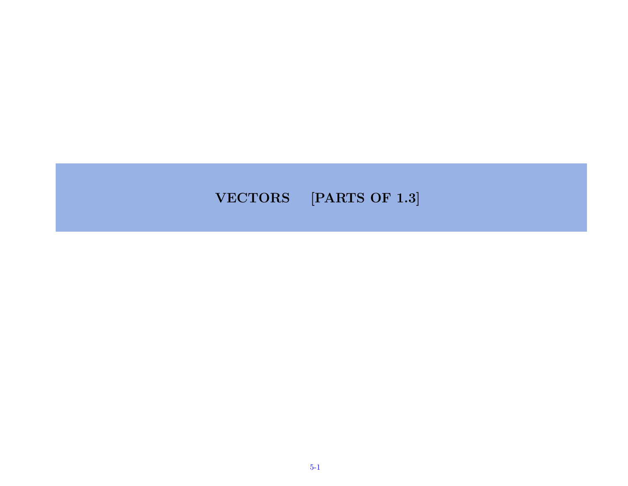#### VECTORS [PARTS OF 1.3]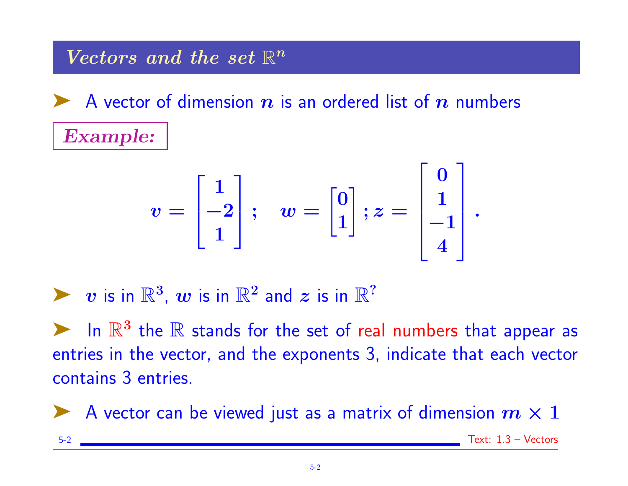Vectors and the set  $\mathbb{R}^n$ 

A vector of dimension  $n$  is an ordered list of  $n$  numbers Example:

$$
v = \begin{bmatrix} 1 \\ -2 \\ 1 \end{bmatrix}; \quad w = \begin{bmatrix} 0 \\ 1 \\ 1 \end{bmatrix}; z = \begin{bmatrix} 0 \\ 1 \\ -1 \\ 4 \end{bmatrix}.
$$

 $\triangleright$  v is in  $\mathbb{R}^3$ , w is in  $\mathbb{R}^2$  and z is in  $\mathbb{R}^2$ 

In  $\mathbb{R}^3$  the  $\mathbb R$  stands for the set of real numbers that appear as entries in the vector, and the exponents 3, indicate that each vector contains 3 entries.

A vector can be viewed just as a matrix of dimension  $m \times 1$ 

5-2 Text: 1.3 – Vectors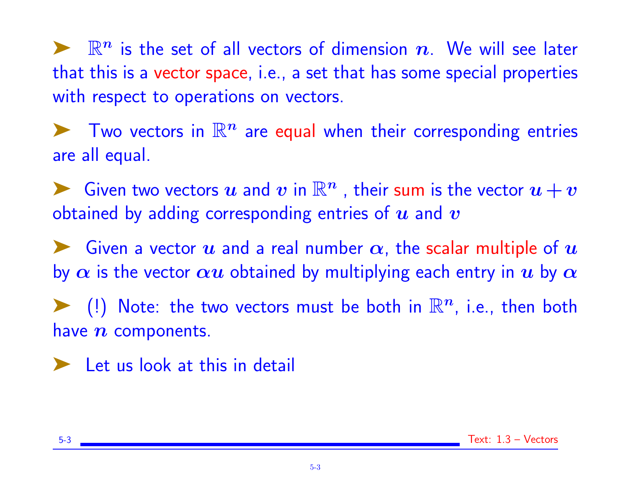$\blacktriangleright$   $\mathbb{R}^n$  is the set of all vectors of dimension n. We will see later that this is a vector space, i.e., a set that has some special properties with respect to operations on vectors.

 $\blacktriangleright$  Two vectors in  $\mathbb{R}^n$  are equal when their corresponding entries are all equal.

► Given two vectors  $u$  and  $v$  in  $\mathbb{R}^n$  , their sum is the vector  $u + v$ obtained by adding corresponding entries of  $\bm{u}$  and  $\bm{v}$ 

Given a vector  $\bm u$  and a real number  $\bm \alpha$ , the scalar multiple of  $\bm u$ by  $\alpha$  is the vector  $\alpha u$  obtained by multiplying each entry in u by  $\alpha$ 

 $\blacktriangleright$  (!) Note: the two vectors must be both in  $\mathbb{R}^n$ , i.e., then both have  $n$  components.

► Let us look at this in detail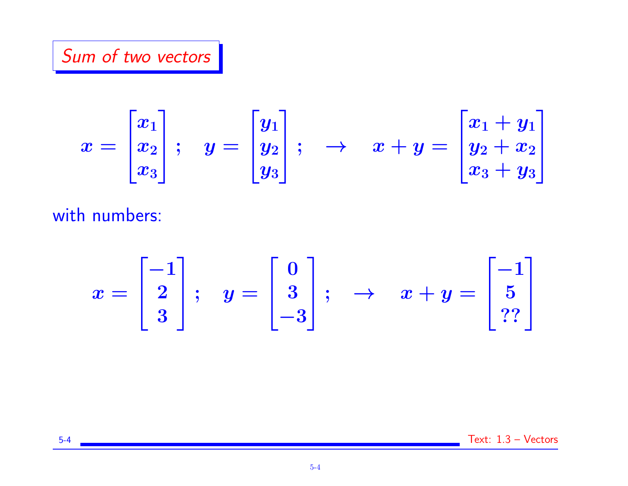# Sum of two vectors

$$
x = \begin{bmatrix} x_1 \\ x_2 \\ x_3 \end{bmatrix}; \quad y = \begin{bmatrix} y_1 \\ y_2 \\ y_3 \end{bmatrix}; \quad \rightarrow \quad x+y = \begin{bmatrix} x_1 + y_1 \\ y_2 + x_2 \\ x_3 + y_3 \end{bmatrix}
$$

with numbers:

$$
x = \begin{bmatrix} -1 \\ 2 \\ 3 \end{bmatrix}; \quad y = \begin{bmatrix} 0 \\ 3 \\ -3 \end{bmatrix}; \quad \rightarrow \quad x + y = \begin{bmatrix} -1 \\ 5 \\ ?? \end{bmatrix}
$$

$$
5-4 \quad \text{Text: } 1.3 - \text{Vectors}
$$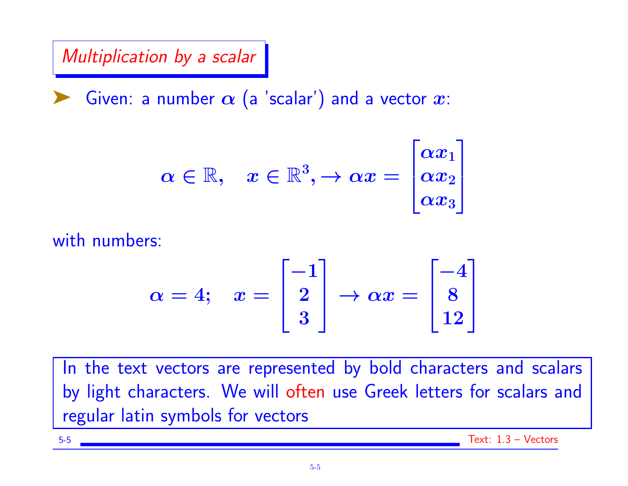Multiplication by a scalar

Given: a number  $\alpha$  (a 'scalar') and a vector  $x$ :

$$
\alpha \in \mathbb{R}, \quad x \in \mathbb{R}^3, \rightarrow \alpha x = \begin{bmatrix} \alpha x_1 \\ \alpha x_2 \\ \alpha x_3 \end{bmatrix}
$$

with numbers:

$$
\alpha = 4; \quad x = \begin{bmatrix} -1 \\ 2 \\ 3 \end{bmatrix} \rightarrow \alpha x = \begin{bmatrix} -4 \\ 8 \\ 12 \end{bmatrix}
$$

In the text vectors are represented by bold characters and scalars by light characters. We will often use Greek letters for scalars and regular latin symbols for vectors

5-5 Text: 1.3 – Vectors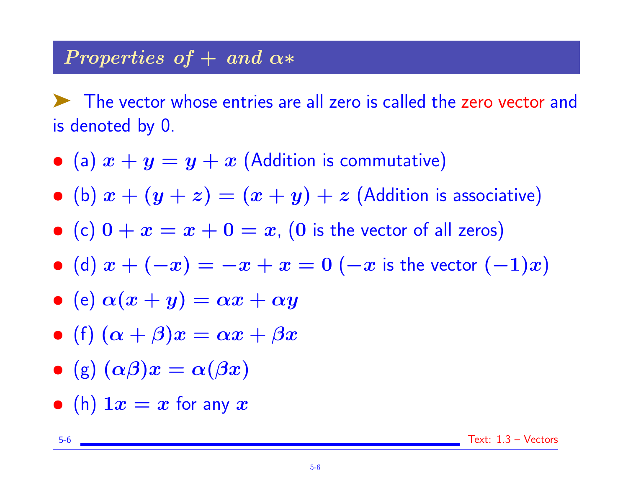#### Properties of  $+$  and  $\alpha*$

The vector whose entries are all zero is called the zero vector and is denoted by 0.

- (a)  $x + y = y + x$  (Addition is commutative)
- (b)  $x + (y + z) = (x + y) + z$  (Addition is associative)
- (c)  $0 + x = x + 0 = x$ , (0 is the vector of all zeros)
- (d)  $x + (-x) = -x + x = 0$  (-x is the vector  $(-1)x$ )
- (e)  $\alpha(x + y) = \alpha x + \alpha y$
- (f)  $(\alpha + \beta)x = \alpha x + \beta x$
- (g)  $(\alpha \beta)x = \alpha(\beta x)$
- (h)  $1x = x$  for any  $x$

5-6 Text: 1.3 – Vectors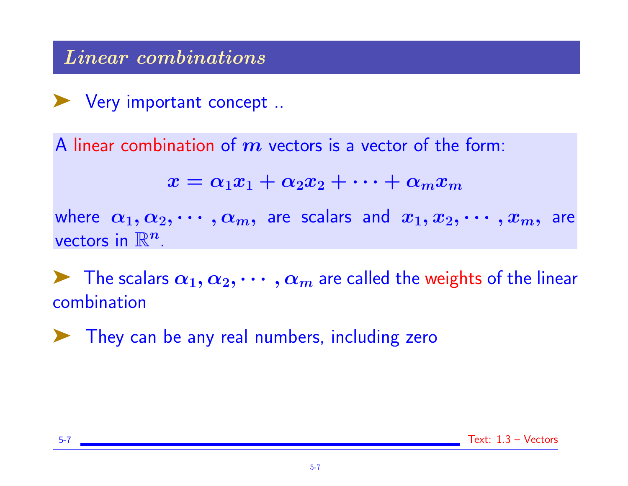## Linear combinations

➤ Very important concept ..

A linear combination of  $m$  vectors is a vector of the form:

$$
x = \alpha_1 x_1 + \alpha_2 x_2 + \cdots + \alpha_m x_m
$$

where  $\alpha_1, \alpha_2, \cdots, \alpha_m$ , are scalars and  $x_1, x_2, \cdots, x_m$ , are vectors in  $\mathbb{R}^n$ .

 $\blacktriangleright$  The scalars  $\alpha_1, \alpha_2, \cdots, \alpha_m$  are called the weights of the linear combination

➤ They can be any real numbers, including zero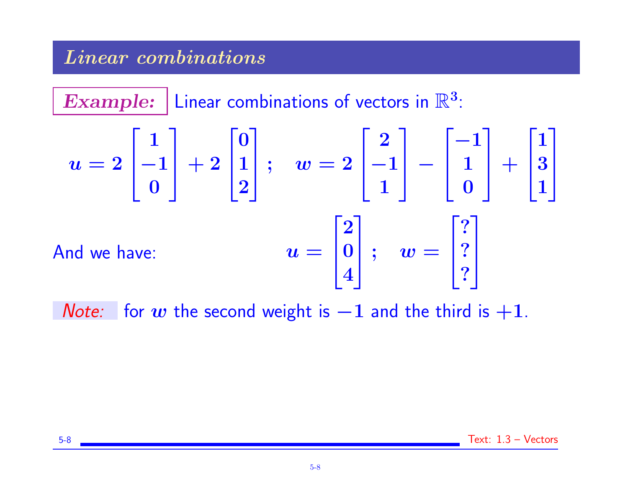## Linear combinations

 $\overline{\textbf{Example:}}$  Linear combinations of vectors in  $\mathbb{R}^3$ :  $\bm{u=2}$  $\sqrt{ }$  $\mathbf{I}$ 1 −1 0 1  $+ 2$  $\sqrt{ }$  $\mathbf{I}$ 0 1 2 1  $\hspace{0.1cm} \Big| \hspace{0.1cm} ; \hspace{0.3cm} \hspace{0.1cm} w = 2$  $\sqrt{ }$  $\mathcal{L}$ 2 −1 1 1 <sup>−</sup>  $\overline{\phantom{a}}$  $\overline{\phantom{a}}$ −1 1 0 1  $| +$  $\overline{\phantom{a}}$  $\overline{\phantom{a}}$ 1 3 1 1  $\mathbf{I}$ And we have:  $\overline{\phantom{a}}$  $\mathcal{L}$ 2 0 4 1  $\Big|$ ;  $w =$  $\overline{\phantom{a}}$  $\mathbf{I}$ ? ? ? 1  $\mathbf{I}$ 

*Note:* for w the second weight is  $-1$  and the third is  $+1$ .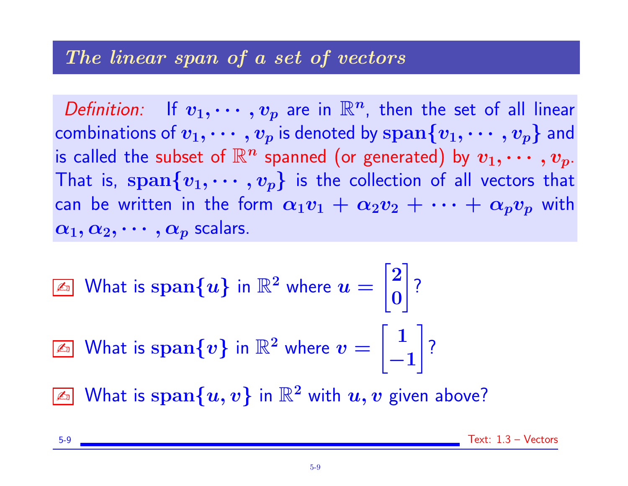#### The linear span of a set of vectors

Definition: If  $v_1, \cdots, v_p$  are in  $\mathbb{R}^n$ , then the set of all linear combinations of  $v_1, \cdots, v_p$  is denoted by  $\text{span}\{v_1, \cdots, v_p\}$  and is called the subset of  $\mathbb{R}^n$  spanned (or generated) by  $v_1, \cdots, v_p$ . That is, span $\{v_1, \cdots, v_p\}$  is the collection of all vectors that can be written in the form  $\alpha_1v_1 + \alpha_2v_2 + \cdots + \alpha_pv_p$  with  $\alpha_1, \alpha_2, \cdots, \alpha_p$  scalars.

 $\boxed{\mathbb{Z}^{\mathbb{Z}}}$  What is  $\operatorname{span}\{u\}$  in  $\mathbb{R}^2$  where  $u=0$  $\sqrt{2}$ 0 1 ?

 $\textcolor{red}{\mathbb{Z}_\mathbb{D}}$  What is  $\text{span}\{\textcolor{blue}{\boldsymbol{v}}\}$  in  $\mathbb{R}^2$  where  $\textcolor{blue}{\boldsymbol{v}}=0$  $\lceil 1 \rceil$ −1  $\mathcal{L}$ ?

 $\boxed{\mathbb{Z}^{\mathbb{Z}}}$  What is  $\operatorname{span}\{u,v\}$  in  $\mathbb{R}^2$  with  $u,v$  given above?

5-9 Text: 1.3 – Vectors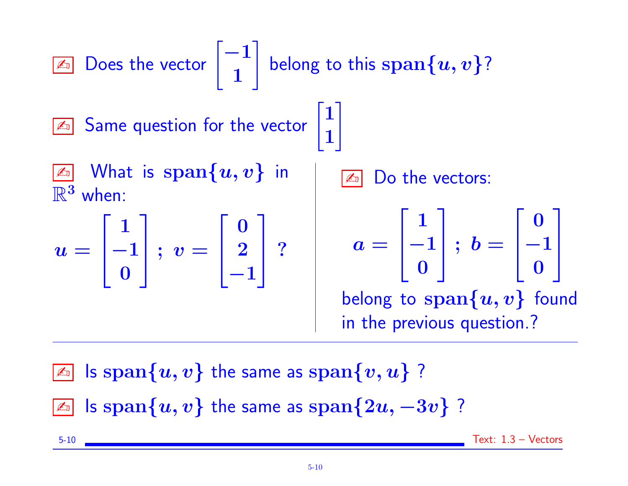These use the vector 
$$
\begin{bmatrix} -1 \\ 1 \end{bmatrix}
$$
 belong to this span  $\{u, v\}$ ?

\nUse the vector  $\begin{bmatrix} 1 \\ 1 \end{bmatrix}$  and  $\begin{bmatrix} 1 \\ 1 \end{bmatrix}$ .

\nWhen:

\n $u = \begin{bmatrix} 1 \\ -1 \\ 0 \end{bmatrix}$ ;  $v = \begin{bmatrix} 0 \\ 2 \\ -1 \end{bmatrix}$ ?

\nSubstituting the values of the vectors:

\n $u = \begin{bmatrix} 1 \\ -1 \\ 0 \end{bmatrix}$  and  $v = \begin{bmatrix} 0 \\ 2 \\ -1 \end{bmatrix}$  and  $u = \begin{bmatrix} 1 \\ -1 \\ 0 \end{bmatrix}$  and  $u = \begin{bmatrix} 0 \\ -1 \\ 0 \end{bmatrix}$ .

\nSubstituting the values of the vectors:

\nSubstituting the values of the vectors and  $u$  and  $v$  are the values of the vectors.

\nSubstituting the values of the vectors and  $u$  and  $v$  are the values of the vectors.

\nSubstituting the values of the vectors and  $u$  and  $v$  are the values of the vectors.

\nSubstituting the values of the vectors and  $u$  and  $v$  are the values of the vectors.

\nSubstituting the values of the vectors and  $u$  and  $v$  are the values of the vectors.

\n $u$  and  $v$  are the values of the vectors.

\n $u$  and  $v$  are the values of the vectors.

\n $u$  and  $v$  are the values of the vectors.

\n $u$  and  $v$  are the values of the vectors.

\n $u$  and  $v$  are the values of the vectors.

\n $u$  and  $v$  are the values of the vectors.

\n $u$  and  $v$  are the values of the

 $\boxed{\mathbb{Z}^n}$  Is  $\text{span}\{u, v\}$  the same as  $\text{span}\{v, u\}$  ?  $\boxed{x}$  Is span $\{u, v\}$  the same as span $\{2u, -3v\}$  ?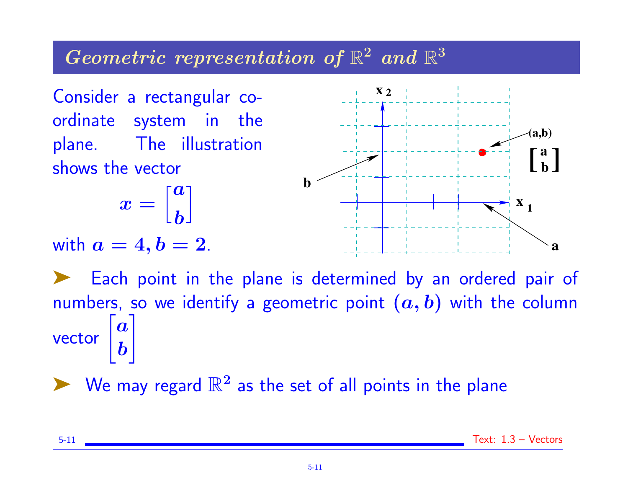# Geometric representation of  $\mathbb{R}^2$  and  $\mathbb{R}^3$

Consider a rectangular coordinate system in the plane. The illustration shows the vector

$$
x=\Big[\begin{matrix} a \\ b \end{matrix}\Big]
$$

with  $a=4, b=2$ .



Each point in the plane is determined by an ordered pair of numbers, so we identify a geometric point  $(a, b)$  with the column vector  $\bm{a}$ b

 $\blacktriangleright$  We may regard  $\mathbb{R}^2$  as the set of all points in the plane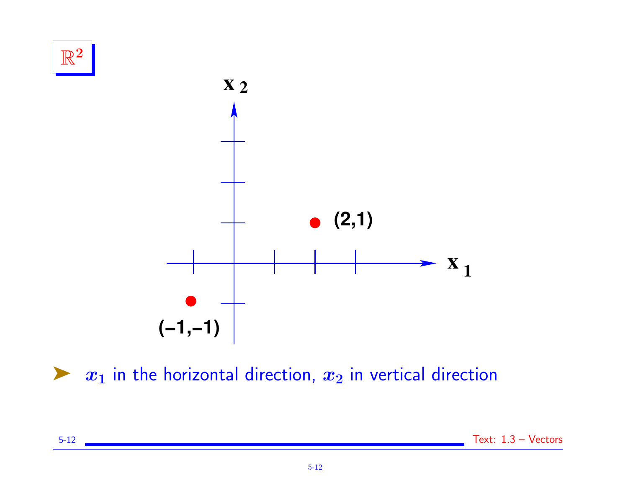

 $\blacktriangleright$   $x_1$  in the horizontal direction,  $x_2$  in vertical direction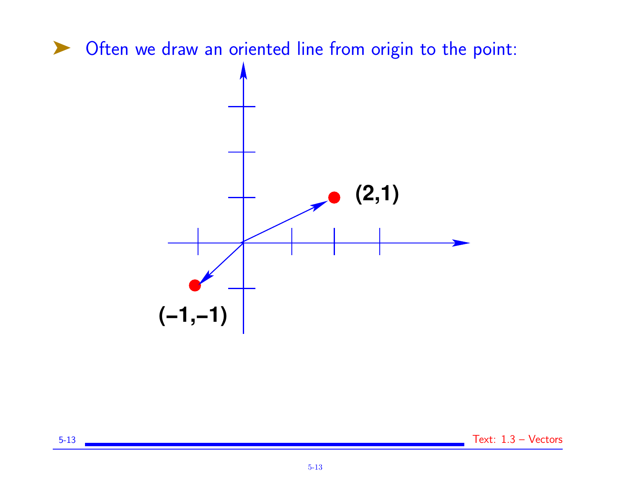



5-13 Text: 1.3 – Vectors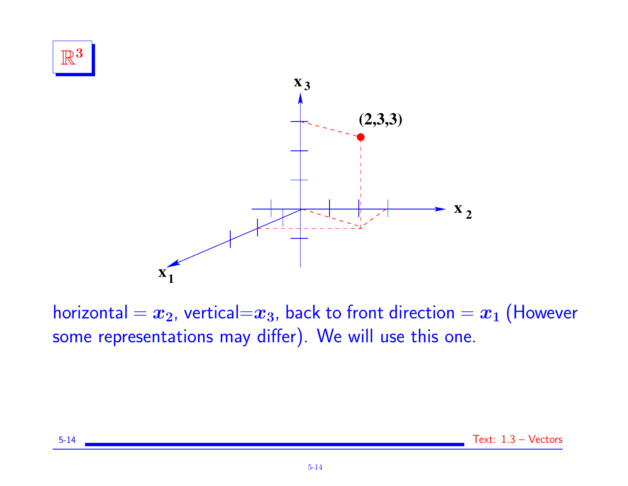

horizontal =  $x_2$ , vertical= $x_3$ , back to front direction =  $x_1$  (However some representations may differ). We will use this one.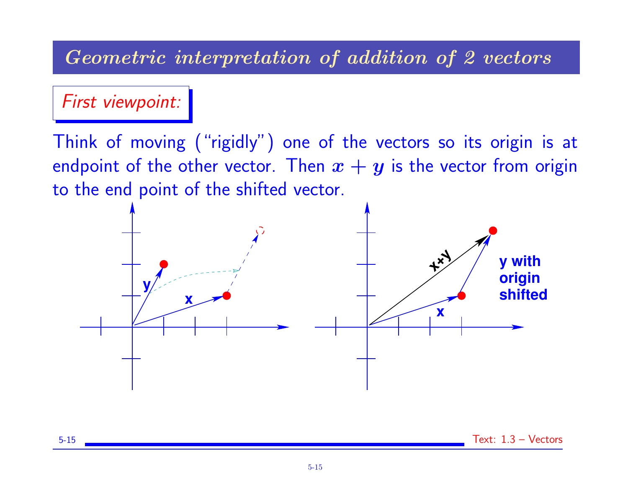## Geometric interpretation of addition of 2 vectors

First viewpoint:

Think of moving ("rigidly") one of the vectors so its origin is at endpoint of the other vector. Then  $x + y$  is the vector from origin to the end point of the shifted vector.

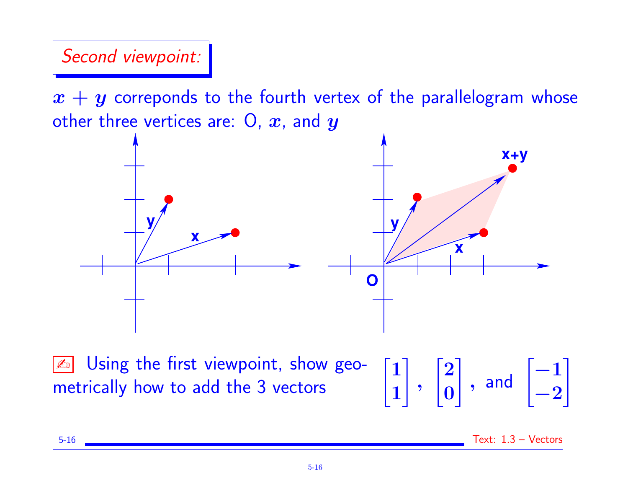#### Second viewpoint:

 $x + y$  correponds to the fourth vertex of the parallelogram whose other three vertices are:  $0, x$ , and  $y$ 



**Exalt Using the first viewpoint, show geo**metrically how to add the 3 vectors

1 1 1 ,  $\sqrt{2}$ 0  $\Big]$ , and  $\Big[ -1 \Big]$ −2 1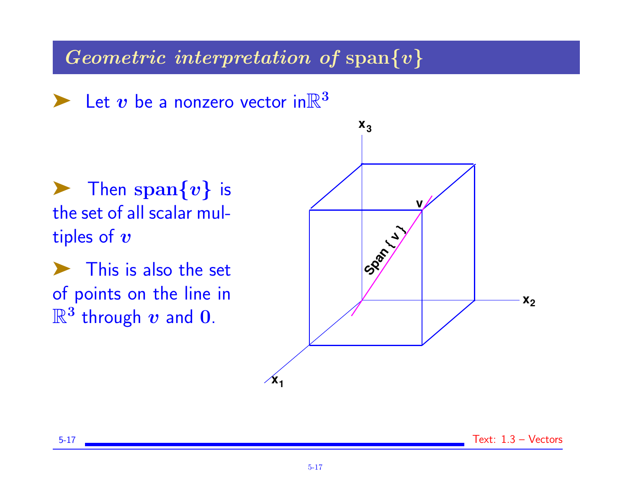Geometric interpretation of span $\{v\}$ 

 $\blacktriangleright$  Let v be a nonzero vector in  $\mathbb{R}^3$ 

 $\blacktriangleright$  Then span $\{v\}$  is the set of all scalar multiples of  $v$ 

 $\blacktriangleright$  This is also the set of points on the line in  $\mathbb{R}^3$  through  $v$  and  $0$ .

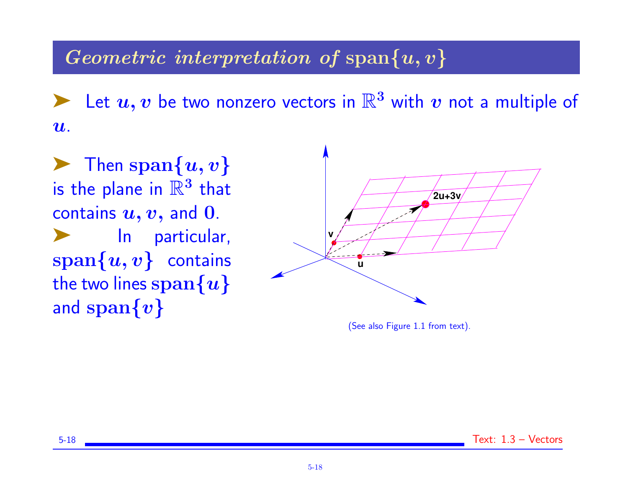## Geometric interpretation of span $\{u, v\}$

Exactle  $u, v$  be two nonzero vectors in  $\mathbb{R}^3$  with  $v$  not a multiple of  $\boldsymbol{u}$ .

 $\blacktriangleright$  Then span $\{u, v\}$ is the plane in  $\mathbb{R}^3$  that contains  $u, v$ , and 0. In particular,  $\text{span}\{u, v\}$  contains the two lines  $\text{span}\{u\}$ and  $\text{span}\{v\}$ 



(See also Figure 1.1 from text).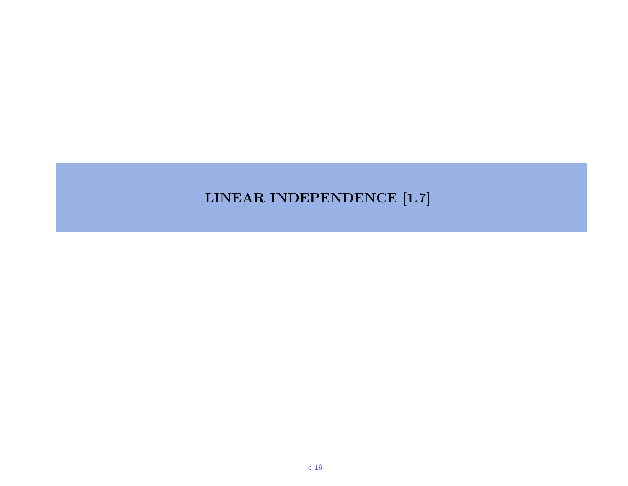#### LINEAR INDEPENDENCE [1.7]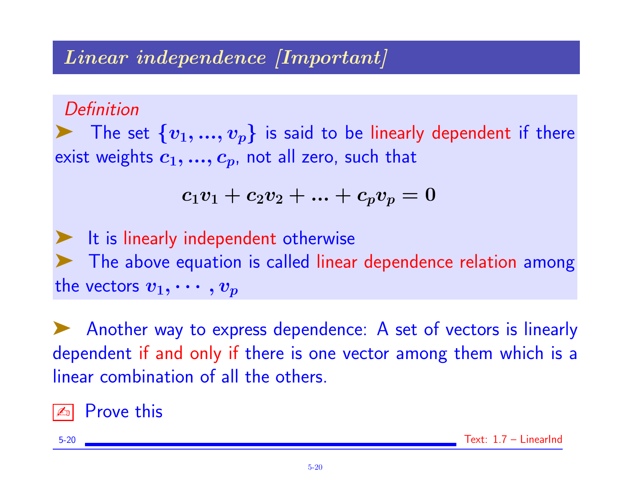# Linear independence [Important]

**Definition** 

The set  $\{v_1,...,v_p\}$  is said to be linearly dependent if there exist weights  $c_1, ..., c_p$ , not all zero, such that

$$
c_1v_1 + c_2v_2 + ... + c_pv_p = 0
$$

It is linearly independent otherwise The above equation is called linear dependence relation among the vectors  $v_1, \cdots, v_p$ 

➤ Another way to express dependence: A set of vectors is linearly dependent if and only if there is one vector among them which is a linear combination of all the others.

**Prove this**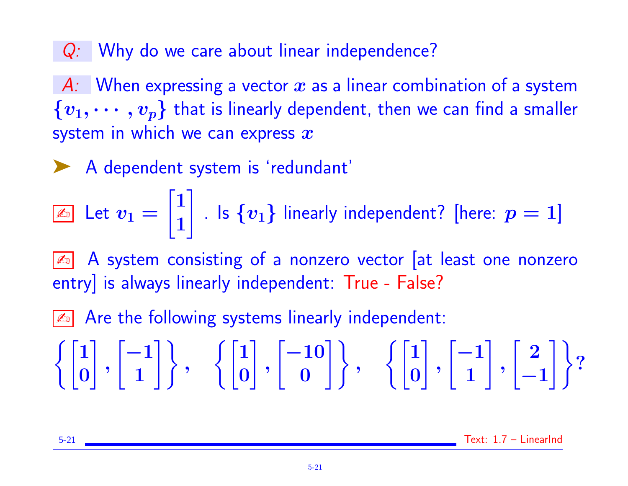Q: Why do we care about linear independence?

A: When expressing a vector  $\bm{x}$  as a linear combination of a system  $\{v_1, \cdots, v_p\}$  that is linearly dependent, then we can find a smaller system in which we can express  $x$ 

◆ A dependent system is 'redundant'

 $\boxed{\mathbb{Z}_\mathbb{D}}$  Let  $v_1=$  $\sqrt{1}$ 1  $\mathbb{I}$ . Is  $\{v_1\}$  linearly independent? [here:  $p=1]$ 

A system consisting of a nonzero vector [at least one nonzero entry] is always linearly independent: True - False?

 $\boxed{\mathbb{Z}^n}$  Are the following systems linearly independent:

$$
\left\{\begin{bmatrix}1\\0\end{bmatrix}, \begin{bmatrix}-1\\1\end{bmatrix}\right\}, \quad \left\{\begin{bmatrix}1\\0\end{bmatrix}, \begin{bmatrix}-10\\0\end{bmatrix}\right\}, \quad \left\{\begin{bmatrix}1\\0\end{bmatrix}, \begin{bmatrix}-1\\1\end{bmatrix}, \begin{bmatrix}2\\-1\end{bmatrix}\right\}?
$$

5-21 Text: 1.7 – LinearInd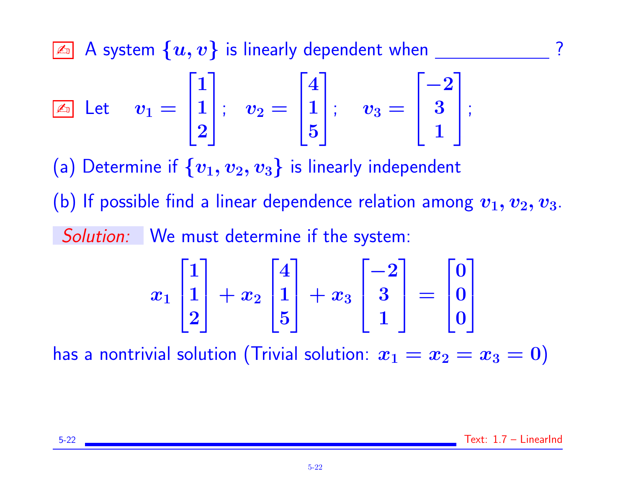$\boxed{\mathbb{Z}$  A system  $\{u, v\}$  is linearly dependent when  $\boxed{\phantom{0}}$  ?

$$
\boxed{\mathbb{Z}_{{\scriptscriptstyle 0}}}\ \ \text{Let}\quad \ v_1=\begin{bmatrix}1\\1\\2\end{bmatrix};\quad v_2=\begin{bmatrix}4\\1\\5\end{bmatrix};\quad v_3=\begin{bmatrix}-2\\3\\1\end{bmatrix};
$$

(a) Determine if  $\{v_1, v_2, v_3\}$  is linearly independent

(b) If possible find a linear dependence relation among  $v_1, v_2, v_3$ . Solution: We must determine if the system:

$$
x_1\begin{bmatrix}1\\1\\2\end{bmatrix}+x_2\begin{bmatrix}4\\1\\5\end{bmatrix}+x_3\begin{bmatrix}-2\\3\\1\end{bmatrix}=\begin{bmatrix}0\\0\\0\end{bmatrix}
$$

has a nontrivial solution (Trivial solution:  $x_1 = x_2 = x_3 = 0$ )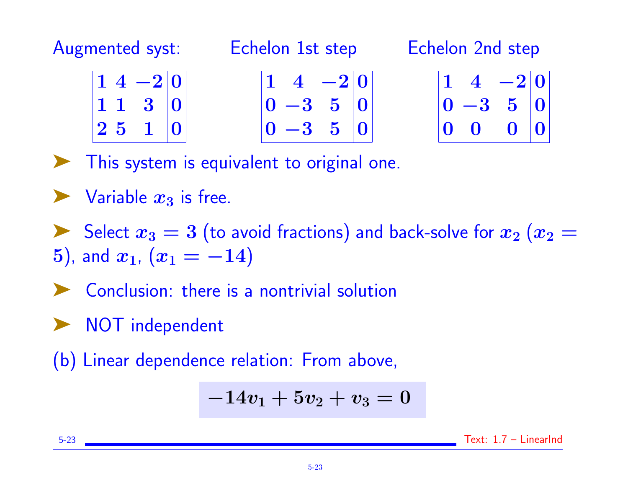Augmented syst: Echelon 1st step

Echelon 2nd step

|             | $ 1\; 4\; -2 0\;$ |                |
|-------------|-------------------|----------------|
| $\vert$ 1 1 | $3\vert 0$        |                |
| $ 2\>5$     | 1                 | $\overline{0}$ |

$$
\begin{vmatrix} 1 & 4 & -2 & 0 \\ 0 & -3 & 5 & 0 \\ 0 & -3 & 5 & 0 \end{vmatrix}
$$

$$
\begin{array}{|c|c|c|}\n\hline\n1 & 4 & -2 & 0 \\
0 & -3 & 5 & 0 \\
0 & 0 & 0 & 0\n\end{array}
$$

This system is equivalent to original one.

 $\blacktriangleright$  Variable  $x_3$  is free.

Select  $x_3 = 3$  (to avoid fractions) and back-solve for  $x_2$   $(x_2 = 1)$ 5), and  $x_1$ ,  $(x_1 = -14)$ 

- ➤ Conclusion: there is a nontrivial solution
- ➤ NOT independent

(b) Linear dependence relation: From above,

$$
-14v_1 + 5v_2 + v_3 = 0
$$

5-23 Text: 1.7 – LinearInd